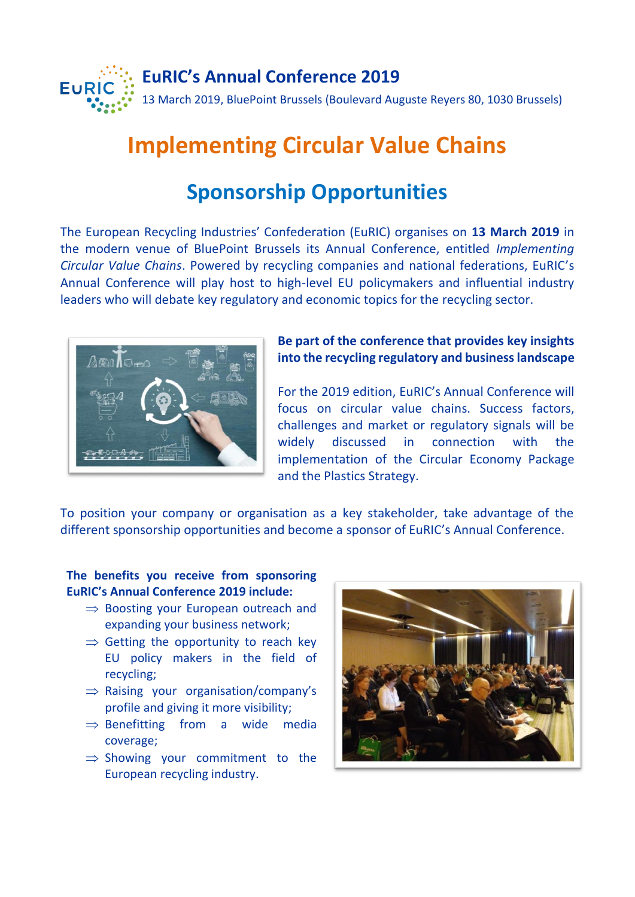

# **Implementing Circular Value Chains**

## **Sponsorship Opportunities**

The European Recycling Industries' Confederation (EuRIC) organises on **13 March 2019** in the modern venue of BluePoint Brussels its Annual Conference, entitled *Implementing Circular Value Chains*. Powered by recycling companies and national federations, EuRIC's Annual Conference will play host to high-level EU policymakers and influential industry leaders who will debate key regulatory and economic topics for the recycling sector.



**Be part of the conference that provides key insights into the recycling regulatory and business landscape**

For the 2019 edition, EuRIC's Annual Conference will focus on circular value chains. Success factors, challenges and market or regulatory signals will be widely discussed in connection with the implementation of the Circular Economy Package and the Plastics Strategy.

To position your company or organisation as a key stakeholder, take advantage of the different sponsorship opportunities and become a sponsor of EuRIC's Annual Conference.

#### **The benefits you receive from sponsoring EuRIC's Annual Conference 2019 include:**

- $\Rightarrow$  Boosting your European outreach and expanding your business network;
- $\Rightarrow$  Getting the opportunity to reach key EU policy makers in the field of recycling;
- $\Rightarrow$  Raising your organisation/company's profile and giving it more visibility;
- $\Rightarrow$  Benefitting from a wide media coverage;
- $\Rightarrow$  Showing your commitment to the European recycling industry.